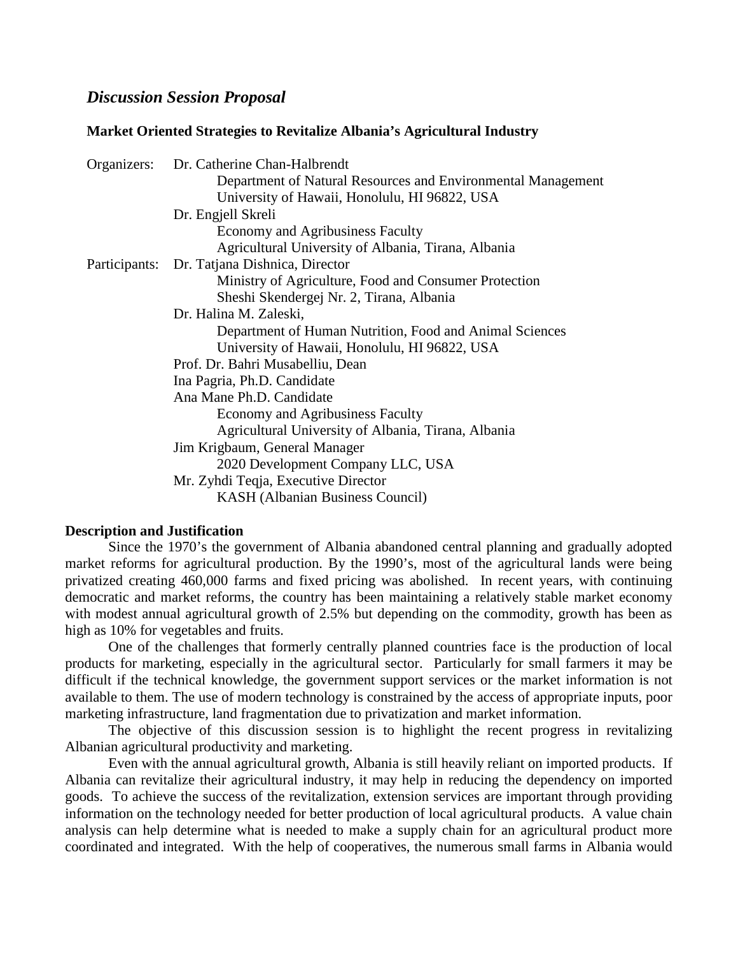## *Discussion Session Proposal*

#### **Market Oriented Strategies to Revitalize Albania's Agricultural Industry**

|               | Organizers: Dr. Catherine Chan-Halbrendt                     |
|---------------|--------------------------------------------------------------|
|               | Department of Natural Resources and Environmental Management |
|               | University of Hawaii, Honolulu, HI 96822, USA                |
|               | Dr. Engjell Skreli                                           |
|               | Economy and Agribusiness Faculty                             |
|               | Agricultural University of Albania, Tirana, Albania          |
| Participants: | Dr. Tatjana Dishnica, Director                               |
|               | Ministry of Agriculture, Food and Consumer Protection        |
|               | Sheshi Skendergej Nr. 2, Tirana, Albania                     |
|               | Dr. Halina M. Zaleski,                                       |
|               | Department of Human Nutrition, Food and Animal Sciences      |
|               | University of Hawaii, Honolulu, HI 96822, USA                |
|               | Prof. Dr. Bahri Musabelliu, Dean                             |
|               | Ina Pagria, Ph.D. Candidate                                  |
|               | Ana Mane Ph.D. Candidate                                     |
|               | Economy and Agribusiness Faculty                             |
|               | Agricultural University of Albania, Tirana, Albania          |
|               | Jim Krigbaum, General Manager                                |
|               | 2020 Development Company LLC, USA                            |
|               | Mr. Zyhdi Teqja, Executive Director                          |
|               | <b>KASH</b> (Albanian Business Council)                      |

### **Description and Justification**

 Since the 1970's the government of Albania abandoned central planning and gradually adopted market reforms for agricultural production. By the 1990's, most of the agricultural lands were being privatized creating 460,000 farms and fixed pricing was abolished. In recent years, with continuing democratic and market reforms, the country has been maintaining a relatively stable market economy with modest annual agricultural growth of 2.5% but depending on the commodity, growth has been as high as 10% for vegetables and fruits.

One of the challenges that formerly centrally planned countries face is the production of local products for marketing, especially in the agricultural sector. Particularly for small farmers it may be difficult if the technical knowledge, the government support services or the market information is not available to them. The use of modern technology is constrained by the access of appropriate inputs, poor marketing infrastructure, land fragmentation due to privatization and market information.

The objective of this discussion session is to highlight the recent progress in revitalizing Albanian agricultural productivity and marketing.

Even with the annual agricultural growth, Albania is still heavily reliant on imported products. If Albania can revitalize their agricultural industry, it may help in reducing the dependency on imported goods. To achieve the success of the revitalization, extension services are important through providing information on the technology needed for better production of local agricultural products. A value chain analysis can help determine what is needed to make a supply chain for an agricultural product more coordinated and integrated. With the help of cooperatives, the numerous small farms in Albania would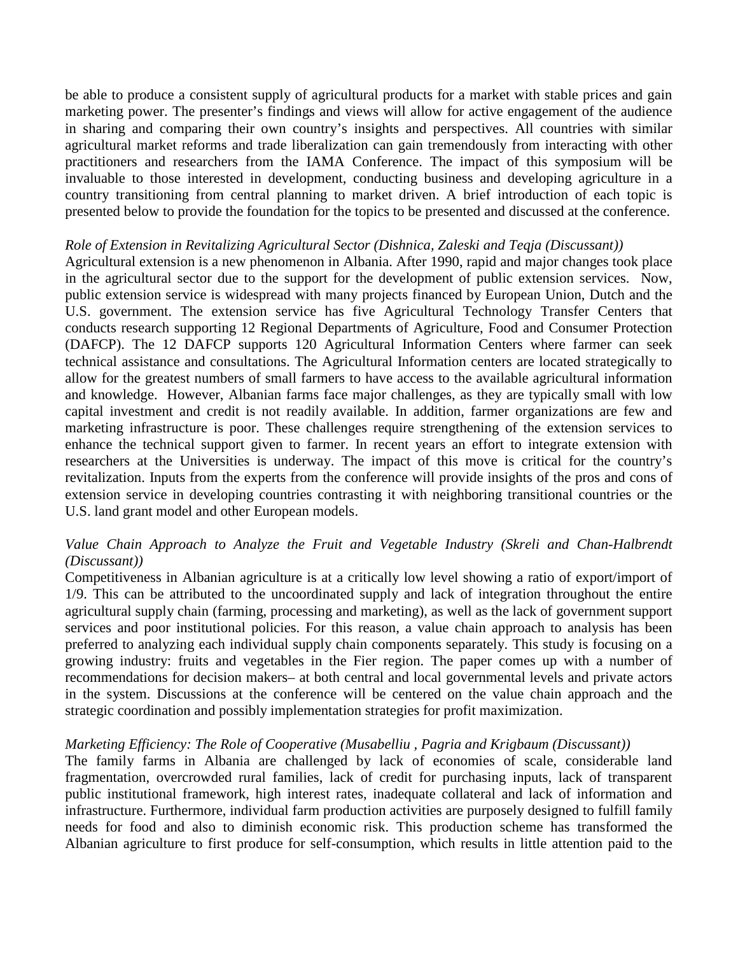be able to produce a consistent supply of agricultural products for a market with stable prices and gain marketing power. The presenter's findings and views will allow for active engagement of the audience in sharing and comparing their own country's insights and perspectives. All countries with similar agricultural market reforms and trade liberalization can gain tremendously from interacting with other practitioners and researchers from the IAMA Conference. The impact of this symposium will be invaluable to those interested in development, conducting business and developing agriculture in a country transitioning from central planning to market driven. A brief introduction of each topic is presented below to provide the foundation for the topics to be presented and discussed at the conference.

## *Role of Extension in Revitalizing Agricultural Sector (Dishnica, Zaleski and Teqja (Discussant))*

Agricultural extension is a new phenomenon in Albania. After 1990, rapid and major changes took place in the agricultural sector due to the support for the development of public extension services. Now, public extension service is widespread with many projects financed by European Union, Dutch and the U.S. government. The extension service has five Agricultural Technology Transfer Centers that conducts research supporting 12 Regional Departments of Agriculture, Food and Consumer Protection (DAFCP). The 12 DAFCP supports 120 Agricultural Information Centers where farmer can seek technical assistance and consultations. The Agricultural Information centers are located strategically to allow for the greatest numbers of small farmers to have access to the available agricultural information and knowledge. However, Albanian farms face major challenges, as they are typically small with low capital investment and credit is not readily available. In addition, farmer organizations are few and marketing infrastructure is poor. These challenges require strengthening of the extension services to enhance the technical support given to farmer. In recent years an effort to integrate extension with researchers at the Universities is underway. The impact of this move is critical for the country's revitalization. Inputs from the experts from the conference will provide insights of the pros and cons of extension service in developing countries contrasting it with neighboring transitional countries or the U.S. land grant model and other European models.

# *Value Chain Approach to Analyze the Fruit and Vegetable Industry (Skreli and Chan-Halbrendt (Discussant))*

Competitiveness in Albanian agriculture is at a critically low level showing a ratio of export/import of 1/9. This can be attributed to the uncoordinated supply and lack of integration throughout the entire agricultural supply chain (farming, processing and marketing), as well as the lack of government support services and poor institutional policies. For this reason, a value chain approach to analysis has been preferred to analyzing each individual supply chain components separately. This study is focusing on a growing industry: fruits and vegetables in the Fier region. The paper comes up with a number of recommendations for decision makers– at both central and local governmental levels and private actors in the system. Discussions at the conference will be centered on the value chain approach and the strategic coordination and possibly implementation strategies for profit maximization.

## *Marketing Efficiency: The Role of Cooperative (Musabelliu , Pagria and Krigbaum (Discussant))*

The family farms in Albania are challenged by lack of economies of scale, considerable land fragmentation, overcrowded rural families, lack of credit for purchasing inputs, lack of transparent public institutional framework, high interest rates, inadequate collateral and lack of information and infrastructure. Furthermore, individual farm production activities are purposely designed to fulfill family needs for food and also to diminish economic risk. This production scheme has transformed the Albanian agriculture to first produce for self-consumption, which results in little attention paid to the